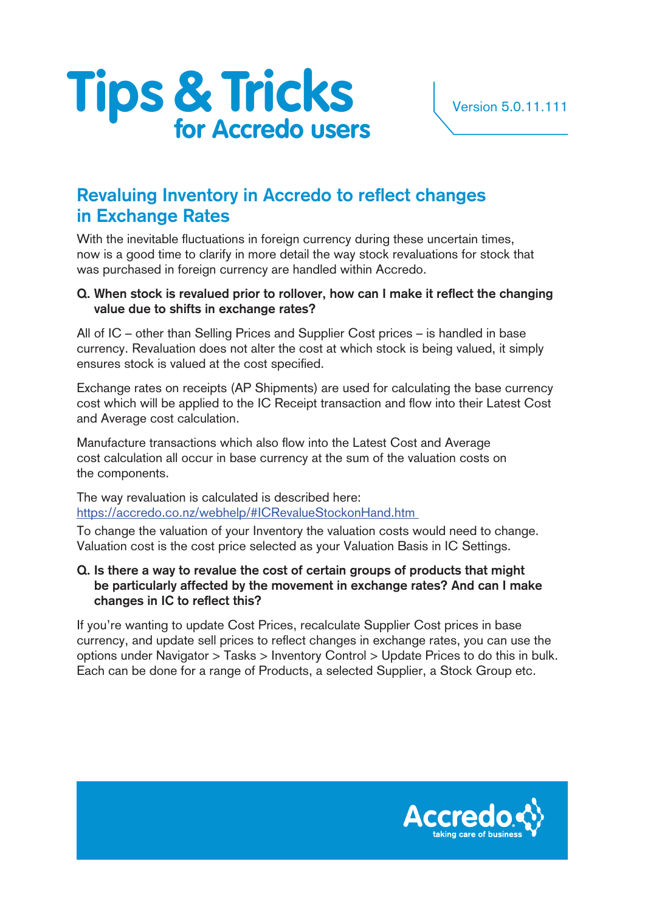

# **Revaluing Inventory in Accredo to reflect changes in Exchange Rates**

With the inevitable fluctuations in foreign currency during these uncertain times, now is a good time to clarify in more detail the way stock revaluations for stock that was purchased in foreign currency are handled within Accredo.

#### **Q. When stock is revalued prior to rollover, how can I make it reflect the changing value due to shifts in exchange rates?**

All of IC – other than Selling Prices and Supplier Cost prices – is handled in base currency. Revaluation does not alter the cost at which stock is being valued, it simply ensures stock is valued at the cost specified.

Exchange rates on receipts (AP Shipments) are used for calculating the base currency cost which will be applied to the IC Receipt transaction and flow into their Latest Cost and Average cost calculation.

Manufacture transactions which also flow into the Latest Cost and Average cost calculation all occur in base currency at the sum of the valuation costs on the components.

The way revaluation is calculated is described here: https://accredo.co.nz/webhelp/#ICRevalueStockonHand.htm

To change the valuation of your Inventory the valuation costs would need to change. Valuation cost is the cost price selected as your Valuation Basis in IC Settings.

**Q. Is there a way to revalue the cost of certain groups of products that might be particularly affected by the movement in exchange rates? And can I make changes in IC to reflect this?**

If you're wanting to update Cost Prices, recalculate Supplier Cost prices in base currency, and update sell prices to reflect changes in exchange rates, you can use the options under Navigator > Tasks > Inventory Control > Update Prices to do this in bulk. Each can be done for a range of Products, a selected Supplier, a Stock Group etc.

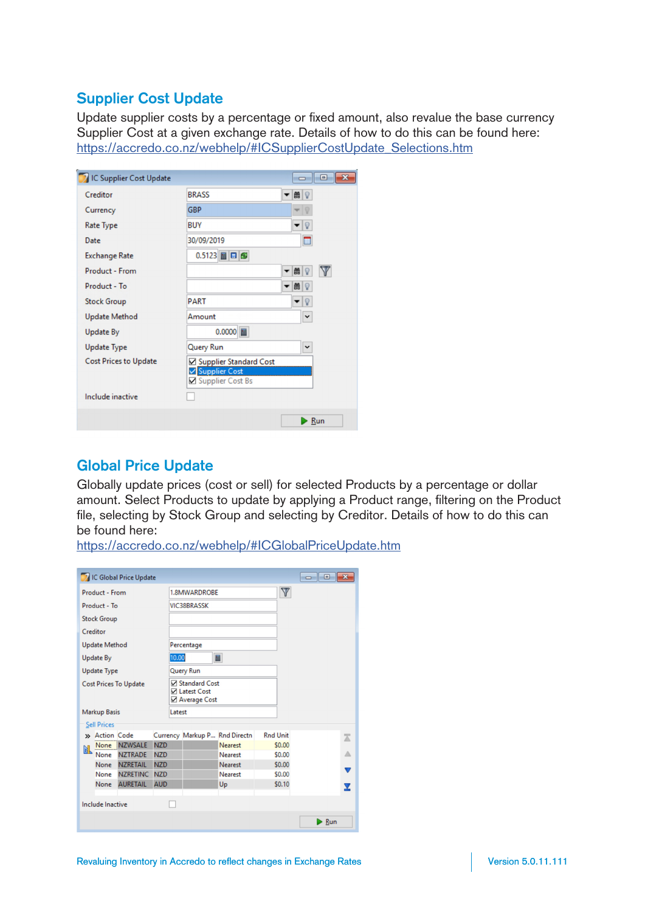## **Supplier Cost Update**

Update supplier costs by a percentage or fixed amount, also revalue the base currency Supplier Cost at a given exchange rate. Details of how to do this can be found here: https://accredo.co.nz/webhelp/#ICSupplierCostUpdate\_Selections.htm

| IC Supplier Cost Update      |                                                                               |            | $\mathbf{x}$<br>$\Box$ 0 |
|------------------------------|-------------------------------------------------------------------------------|------------|--------------------------|
| Creditor                     | <b>BRASS</b>                                                                  | <b>曲</b>   |                          |
| Currency                     | <b>GBP</b>                                                                    |            | 19                       |
| <b>Rate Type</b>             | <b>BUY</b>                                                                    | ▾∥         | Q                        |
| Date                         | 30/09/2019                                                                    |            | ▦                        |
| <b>Exchange Rate</b>         | $0.5123$ $\blacksquare$ $\blacksquare$ $\blacksquare$                         |            |                          |
| Product - From               |                                                                               | ■          | V<br>Q                   |
| Product - To                 |                                                                               | <b>曲</b> ? |                          |
| <b>Stock Group</b>           | <b>PART</b>                                                                   | ▼   ଭ      |                          |
| <b>Update Method</b>         | Amount                                                                        |            | $\checkmark$             |
| <b>Update By</b>             | 0.0000                                                                        |            |                          |
| <b>Update Type</b>           | Query Run                                                                     |            | $\check{}$               |
| <b>Cost Prices to Update</b> | <b>⊠ Supplier Standard Cost</b><br><b>√</b> Supplier Cost<br>Supplier Cost Bs |            |                          |
| Include inactive             |                                                                               |            |                          |
|                              |                                                                               |            | Run                      |

## **Global Price Update**

Globally update prices (cost or sell) for selected Products by a percentage or dollar amount. Select Products to update by applying a Product range, filtering on the Product file, selecting by Stock Group and selecting by Creditor. Details of how to do this can be found here:

https://accredo.co.nz/webhelp/#ICGlobalPriceUpdate.htm

| <b>DE IC Global Price Update</b> |                 |            |              |                                                         |                               |                         |        | $\begin{array}{c c c c c c} \hline \multicolumn{3}{c }{\mathbf{C}} & \multicolumn{3}{c }{\mathbf{X}} \end{array}$ |   |
|----------------------------------|-----------------|------------|--------------|---------------------------------------------------------|-------------------------------|-------------------------|--------|-------------------------------------------------------------------------------------------------------------------|---|
| Product - From                   |                 |            | 1.8MWARDROBE |                                                         |                               | $\overline{\mathbb{V}}$ |        |                                                                                                                   |   |
| Product - To                     |                 |            |              | <b>VIC38BRASSK</b>                                      |                               |                         |        |                                                                                                                   |   |
| <b>Stock Group</b>               |                 |            |              |                                                         |                               |                         |        |                                                                                                                   |   |
| Creditor                         |                 |            |              |                                                         |                               |                         |        |                                                                                                                   |   |
| <b>Update Method</b>             |                 |            |              | Percentage                                              |                               |                         |        |                                                                                                                   |   |
| <b>Update By</b>                 |                 |            | 10.00        |                                                         | 圖                             |                         |        |                                                                                                                   |   |
| <b>Update Type</b>               |                 |            |              | Query Run                                               |                               |                         |        |                                                                                                                   |   |
| <b>Cost Prices To Update</b>     |                 |            |              | Standard Cost<br><b>⊽</b> Latest Cost<br>☑ Average Cost |                               |                         |        |                                                                                                                   |   |
| <b>Markup Basis</b>              |                 |            | Latest       |                                                         |                               |                         |        |                                                                                                                   |   |
| <b>Sell Prices</b>               |                 |            |              |                                                         |                               |                         |        |                                                                                                                   |   |
| » Action Code                    |                 |            |              |                                                         | Currency Markup P Rnd Directn | <b>Rnd Unit</b>         |        | 云                                                                                                                 |   |
| None NZWSALE<br>N                |                 | <b>NZD</b> |              |                                                         | <b>Nearest</b>                |                         | \$0.00 |                                                                                                                   |   |
| None                             | <b>NZTRADE</b>  | <b>NZD</b> |              |                                                         | <b>Nearest</b>                |                         | \$0.00 | Δ                                                                                                                 |   |
| None                             | <b>NZRETAIL</b> | <b>NZD</b> |              |                                                         | <b>Nearest</b>                |                         | \$0.00 |                                                                                                                   | U |
| None                             | <b>NZRETINC</b> | <b>NZD</b> |              |                                                         | <b>Nearest</b>                |                         | \$0.00 |                                                                                                                   |   |
| <b>None</b>                      | <b>AURETAIL</b> | <b>AUD</b> |              |                                                         | Up                            |                         | \$0.10 | V                                                                                                                 |   |
| Include Inactive                 |                 |            |              |                                                         |                               |                         |        |                                                                                                                   |   |
|                                  |                 |            |              |                                                         |                               |                         |        | $\triangleright$ Run                                                                                              |   |